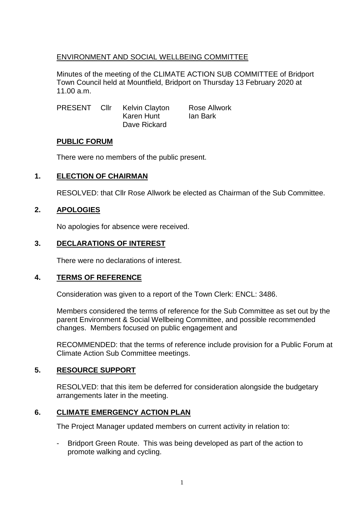### ENVIRONMENT AND SOCIAL WELLBEING COMMITTEE

Minutes of the meeting of the CLIMATE ACTION SUB COMMITTEE of Bridport Town Council held at Mountfield, Bridport on Thursday 13 February 2020 at 11.00 a.m.

| <b>PRESENT</b> | Cllr | Kelvin Clayton | Rose Allwork |
|----------------|------|----------------|--------------|
|                |      | Karen Hunt     | lan Bark     |
|                |      | Dave Rickard   |              |

### **PUBLIC FORUM**

There were no members of the public present.

### **1. ELECTION OF CHAIRMAN**

RESOLVED: that Cllr Rose Allwork be elected as Chairman of the Sub Committee.

### **2. APOLOGIES**

No apologies for absence were received.

### **3. DECLARATIONS OF INTEREST**

There were no declarations of interest.

#### **4. TERMS OF REFERENCE**

Consideration was given to a report of the Town Clerk: ENCL: 3486.

Members considered the terms of reference for the Sub Committee as set out by the parent Environment & Social Wellbeing Committee, and possible recommended changes. Members focused on public engagement and

RECOMMENDED: that the terms of reference include provision for a Public Forum at Climate Action Sub Committee meetings.

### **5. RESOURCE SUPPORT**

RESOLVED: that this item be deferred for consideration alongside the budgetary arrangements later in the meeting.

### **6. CLIMATE EMERGENCY ACTION PLAN**

The Project Manager updated members on current activity in relation to:

Bridport Green Route. This was being developed as part of the action to promote walking and cycling.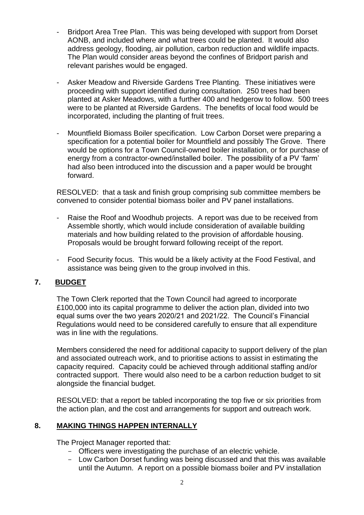- Bridport Area Tree Plan. This was being developed with support from Dorset AONB, and included where and what trees could be planted. It would also address geology, flooding, air pollution, carbon reduction and wildlife impacts. The Plan would consider areas beyond the confines of Bridport parish and relevant parishes would be engaged.
- Asker Meadow and Riverside Gardens Tree Planting. These initiatives were proceeding with support identified during consultation. 250 trees had been planted at Asker Meadows, with a further 400 and hedgerow to follow. 500 trees were to be planted at Riverside Gardens. The benefits of local food would be incorporated, including the planting of fruit trees.
- Mountfield Biomass Boiler specification. Low Carbon Dorset were preparing a specification for a potential boiler for Mountfield and possibly The Grove. There would be options for a Town Council-owned boiler installation, or for purchase of energy from a contractor-owned/installed boiler. The possibility of a PV 'farm' had also been introduced into the discussion and a paper would be brought forward.

RESOLVED: that a task and finish group comprising sub committee members be convened to consider potential biomass boiler and PV panel installations.

- Raise the Roof and Woodhub projects. A report was due to be received from Assemble shortly, which would include consideration of available building materials and how building related to the provision of affordable housing. Proposals would be brought forward following receipt of the report.
- Food Security focus. This would be a likely activity at the Food Festival, and assistance was being given to the group involved in this.

### **7. BUDGET**

The Town Clerk reported that the Town Council had agreed to incorporate £100,000 into its capital programme to deliver the action plan, divided into two equal sums over the two years 2020/21 and 2021/22. The Council's Financial Regulations would need to be considered carefully to ensure that all expenditure was in line with the regulations.

Members considered the need for additional capacity to support delivery of the plan and associated outreach work, and to prioritise actions to assist in estimating the capacity required. Capacity could be achieved through additional staffing and/or contracted support. There would also need to be a carbon reduction budget to sit alongside the financial budget.

RESOLVED: that a report be tabled incorporating the top five or six priorities from the action plan, and the cost and arrangements for support and outreach work.

### **8. MAKING THINGS HAPPEN INTERNALLY**

The Project Manager reported that:

- Officers were investigating the purchase of an electric vehicle.
- Low Carbon Dorset funding was being discussed and that this was available until the Autumn. A report on a possible biomass boiler and PV installation